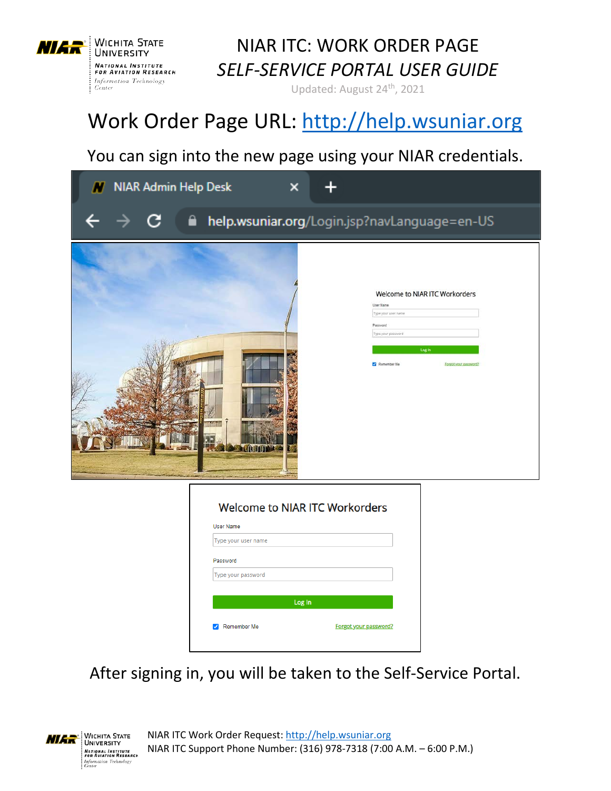

Updated: August 24th, 2021

# Work Order Page URL: [http://help.wsuniar.org](http://help.wsuniar.org/)

#### You can sign into the new page using your NIAR credentials.

| <b>NIAR Admin Help Desk</b> |                                                                                          | $\boldsymbol{\mathsf{x}}$                                                |                                                                                                                |
|-----------------------------|------------------------------------------------------------------------------------------|--------------------------------------------------------------------------|----------------------------------------------------------------------------------------------------------------|
|                             | €                                                                                        |                                                                          | help.wsuniar.org/Login.jsp?navLanguage=en-US                                                                   |
|                             |                                                                                          | <b>User Name</b><br>Password<br>Remember Me                              | Welcome to NIAR ITC Workorders<br>Type your user name<br>Type your password<br>Log In<br>Forgot your password? |
|                             | <b>User Name</b><br>Type your user name<br>Password<br>Type your password<br>Remember Me | <b>Welcome to NIAR ITC Workorders</b><br>Log In<br>Forgot your password? |                                                                                                                |

After signing in, you will be taken to the Self-Service Portal.

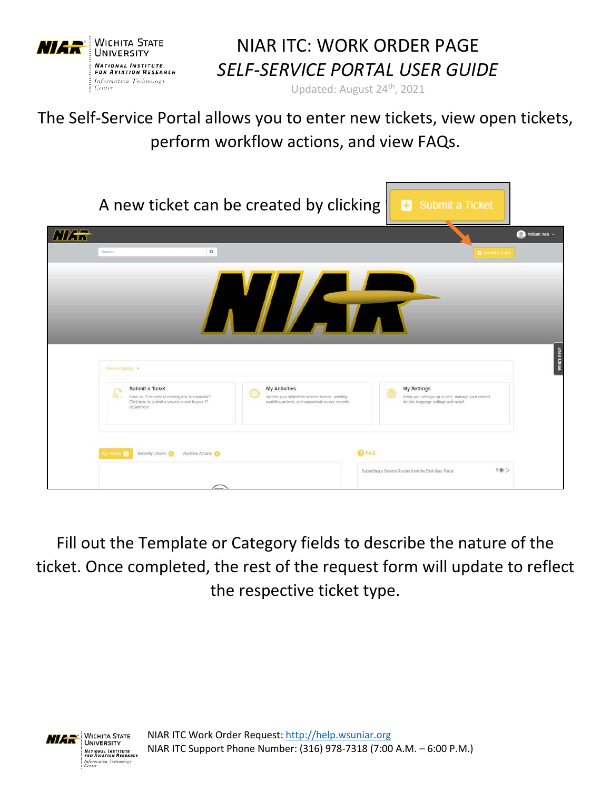

Updated: August 24th, 2021

The Self-Service Portal allows you to enter new tickets, view open tickets, perform workflow actions, and view FAQs.

|             |                                                                                                                                                                        | A new ticket can be created by clicking                                                                             | <b>B</b> Submit a Ticket                                                                                  |                |
|-------------|------------------------------------------------------------------------------------------------------------------------------------------------------------------------|---------------------------------------------------------------------------------------------------------------------|-----------------------------------------------------------------------------------------------------------|----------------|
| <b>NIAR</b> |                                                                                                                                                                        |                                                                                                                     |                                                                                                           | William Hein - |
|             | Q<br>Search                                                                                                                                                            |                                                                                                                     | <b>C</b> Submit a Ticke                                                                                   |                |
|             | <b>Ferrite Calakaj</b> >                                                                                                                                               | A LATA                                                                                                              |                                                                                                           | What's new?    |
|             | Submit a Ticket<br>$\left( \frac{1}{2} \right)$<br>Have an IT request or missing any functionality?<br>Click here to submit a service record to your IT<br>department. | My Activities<br>Access your submitted service records, pending<br>workflow actions, and supervised service records | My Settings<br>Keep your settings up to date, manage your contact<br>details, language settings and more! |                |
|             | My Tickets @<br>Recently Closed<br>Workflow Actions                                                                                                                    | <b>Q FAQ</b>                                                                                                        | 500<br>Submitting a Service Record from the End-User Portal                                               |                |

Fill out the Template or Category fields to describe the nature of the ticket. Once completed, the rest of the request form will update to reflect the respective ticket type.

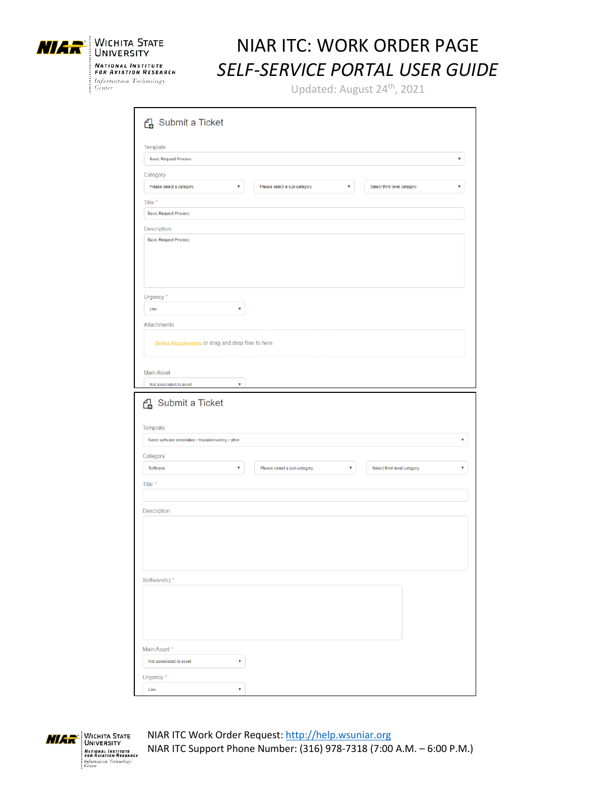



Updated: August 24<sup>th</sup>, 2021

| Template                                                          |   |                                   |   |                             |   |
|-------------------------------------------------------------------|---|-----------------------------------|---|-----------------------------|---|
| <b>Basic Request Process</b>                                      |   |                                   |   |                             | ۷ |
| Category                                                          |   |                                   |   |                             |   |
| Please select a category                                          | ۷ | Please select a sub-category<br>۷ |   | Select third level category | ۷ |
| Title *                                                           |   |                                   |   |                             |   |
| <b>Basic Request Process</b>                                      |   |                                   |   |                             |   |
| Description                                                       |   |                                   |   |                             |   |
| <b>Basic Request Process</b>                                      |   |                                   |   |                             |   |
| Urgency*                                                          |   |                                   |   |                             |   |
| Low                                                               | v |                                   |   |                             |   |
| Attachments                                                       |   |                                   |   |                             |   |
| Select Attachments or drag and drop files to here                 |   |                                   |   |                             |   |
|                                                                   |   |                                   |   |                             |   |
| <b>Main Asset</b><br>Not associated to asset<br>4 Submit a Ticket | v |                                   |   |                             |   |
| Need software installation / troubleshooting / other              |   |                                   |   |                             |   |
| Software                                                          | ۷ | Please select a sub-category      | ۷ | Select third level category | ۷ |
|                                                                   |   |                                   |   |                             |   |
|                                                                   |   |                                   |   |                             |   |
|                                                                   |   |                                   |   |                             |   |
|                                                                   |   |                                   |   |                             |   |
|                                                                   |   |                                   |   |                             |   |
|                                                                   |   |                                   |   |                             |   |
|                                                                   |   |                                   |   |                             |   |
|                                                                   |   |                                   |   |                             |   |
|                                                                   |   |                                   |   |                             |   |
| Template<br>Category<br>Title *<br>Description<br>Software(s) *   |   |                                   |   |                             |   |
|                                                                   |   |                                   |   |                             |   |
|                                                                   |   |                                   |   |                             |   |
| Main Asset*                                                       |   |                                   |   |                             |   |